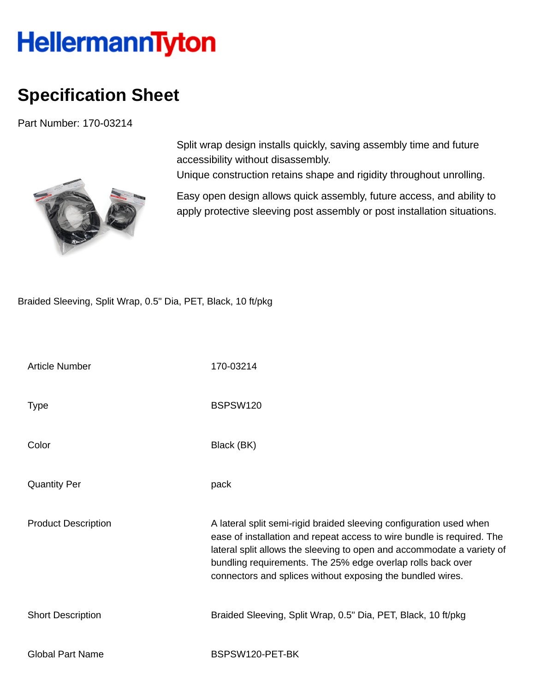## **HellermannTyton**

## **Specification Sheet**

Part Number: 170-03214



Split wrap design installs quickly, saving assembly time and future accessibility without disassembly.

Unique construction retains shape and rigidity throughout unrolling.

Easy open design allows quick assembly, future access, and ability to apply protective sleeving post assembly or post installation situations.

Braided Sleeving, Split Wrap, 0.5" Dia, PET, Black, 10 ft/pkg

| <b>Article Number</b>      | 170-03214                                                                                                                                                                                                                                                                                                                                            |
|----------------------------|------------------------------------------------------------------------------------------------------------------------------------------------------------------------------------------------------------------------------------------------------------------------------------------------------------------------------------------------------|
| <b>Type</b>                | BSPSW120                                                                                                                                                                                                                                                                                                                                             |
| Color                      | Black (BK)                                                                                                                                                                                                                                                                                                                                           |
| <b>Quantity Per</b>        | pack                                                                                                                                                                                                                                                                                                                                                 |
| <b>Product Description</b> | A lateral split semi-rigid braided sleeving configuration used when<br>ease of installation and repeat access to wire bundle is required. The<br>lateral split allows the sleeving to open and accommodate a variety of<br>bundling requirements. The 25% edge overlap rolls back over<br>connectors and splices without exposing the bundled wires. |
| <b>Short Description</b>   | Braided Sleeving, Split Wrap, 0.5" Dia, PET, Black, 10 ft/pkg                                                                                                                                                                                                                                                                                        |
| <b>Global Part Name</b>    | BSPSW120-PET-BK                                                                                                                                                                                                                                                                                                                                      |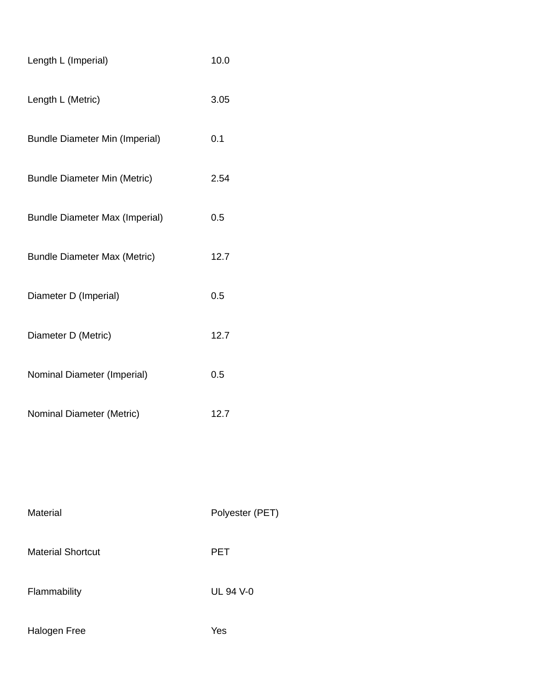| Length L (Imperial)                   | 10.0 |
|---------------------------------------|------|
| Length L (Metric)                     | 3.05 |
| <b>Bundle Diameter Min (Imperial)</b> | 0.1  |
| <b>Bundle Diameter Min (Metric)</b>   | 2.54 |
| <b>Bundle Diameter Max (Imperial)</b> | 0.5  |
| <b>Bundle Diameter Max (Metric)</b>   | 12.7 |
| Diameter D (Imperial)                 | 0.5  |
| Diameter D (Metric)                   | 12.7 |
| Nominal Diameter (Imperial)           | 0.5  |
| Nominal Diameter (Metric)             | 12.7 |
|                                       |      |

| Material                 | Polyester (PET)  |
|--------------------------|------------------|
| <b>Material Shortcut</b> | <b>PET</b>       |
| Flammability             | <b>UL 94 V-0</b> |
| Halogen Free             | Yes              |